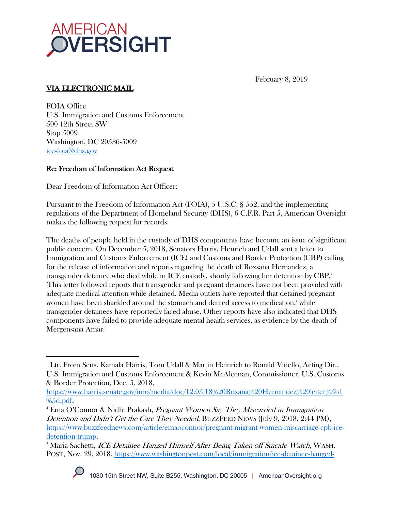

February 8, 2019

# VIA ELECTRONIC MAIL

FOIA Office U.S. Immigration and Customs Enforcement 500 12th Street SW Stop 5009 Washington, DC 20536-5009 ice-foia@dhs.gov

## Re: Freedom of Information Act Request

Dear Freedom of Information Act Officer:

Pursuant to the Freedom of Information Act (FOIA), 5 U.S.C. § 552, and the implementing regulations of the Department of Homeland Security (DHS), 6 C.F.R. Part 5, American Oversight makes the following request for records.

The deaths of people held in the custody of DHS components have become an issue of significant public concern. On December 5, 2018, Senators Harris, Henrich and Udall sent a letter to Immigration and Customs Enforcement (ICE) and Customs and Border Protection (CBP) calling for the release of information and reports regarding the death of Roxsana Hernandez, a transgender detainee who died while in ICE custody, shortly following her detention by CBP. 1 ] This letter followed reports that transgender and pregnant detainees have not been provided with adequate medical attention while detained. Media outlets have reported that detained pregnant women have been shackled around the stomach and denied access to medication, <sup>2</sup> while transgender detainees have reportedly faced abuse. Other reports have also indicated that DHS components have failed to provide adequate mental health services, as evidence by the death of Mergensana Amar. 3

POST, Nov. 29, 2018, https://www.washingtonpost.com/local/immigration/ice-detainee-hanged-



<sup>1</sup> Ltr. From Sens. Kamala Harris, Tom Udall & Martin Heinrich to Ronald Vitiello, Acting Dir., U.S. Immigration and Customs Enforcement & Kevin McAleenan, Commissioner, U.S. Customs & Border Protection, Dec. 5, 2018,

https://www.harris.senate.gov/imo/media/doc/12.05.18%20Roxana%20Hernandez%20letter%5b1 %5d.pdf.

<sup>&</sup>lt;sup>2</sup> Ema O'Connor & Nidhi Prakash, *Pregnant Women Say They Miscarried in Immigration* Detention and Didn't Get the Care They Needed, BUZZFEED NEWS (July 9, 2018, 2:44 PM), https://www.buzzfeednews.com/article/emaoconnor/pregnant-migrant-women-miscarriage-cpb-icedetention-trump.<br><sup>3</sup> Maria Sachetti, *ICE Detainee Hanged Himself After Being Taken off Suicide Watch*, WASH.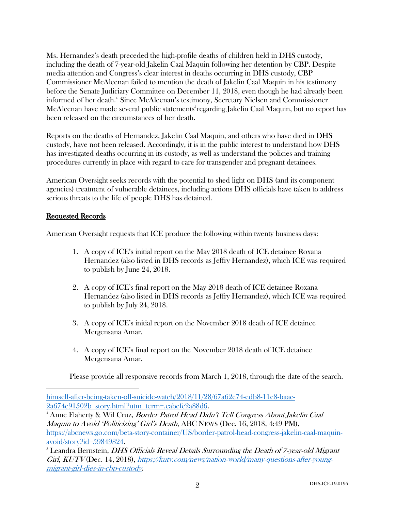Ms. Hernandez's death preceded the high-profile deaths of children held in DHS custody, including the death of 7-year-old Jakelin Caal Maquin following her detention by CBP. Despite media attention and Congress's clear interest in deaths occurring in DHS custody, CBP Commissioner McAleenan failed to mention the death of Jakelin Caal Maquin in his testimony before the Senate Judiciary Committee on December 11, 2018, even though he had already been informed of her death. <sup>4</sup> Since McAleenan's testimony, Secretary Nielsen and Commissioner McAleenan have made several public statements $^{\circ}$ regarding Jakelin Caal Maquin, but no report has been released on the circumstances of her death.

Reports on the deaths of Hernandez, Jakelin Caal Maquin, and others who have died in DHS custody, have not been released. Accordingly, it is in the public interest to understand how DHS has investigated deaths occurring in its custody, as well as understand the policies and training procedures currently in place with regard to care for transgender and pregnant detainees.

American Oversight seeks records with the potential to shed light on DHS (and its component agencies) treatment of vulnerable detainees, including actions DHS officials have taken to address serious threats to the life of people DHS has detained.

#### Requested Records

 $\overline{a}$ 

American Oversight requests that ICE produce the following within twenty business days:

- 1. A copy of ICE's initial report on the May 2018 death of ICE detainee Roxana Hernandez (also listed in DHS records as Jeffry Hernandez), which ICE was required to publish by June 24, 2018.
- 2. A copy of ICE's final report on the May 2018 death of ICE detainee Roxana Hernandez (also listed in DHS records as Jeffry Hernandez), which ICE was required to publish by July 24, 2018.
- 3. A copy of ICE's initial report on the November 2018 death of ICE detainee Mergensana Amar.
- 4. A copy of ICE's final report on the November 2018 death of ICE detainee Mergensana Amar.

Please provide all responsive records from March 1, 2018, through the date of the search.

2a674e91502b\_story.html?utm\_term=.cabefc2a88d6. 4 Anne Flaherty & Wil Cruz, Border Patrol Head Didn't Tell Congress About Jakelin Caal Maquin to Avoid 'Politicizing' Girl's Death, ABC NEWS (Dec. 16, 2018, 4:49 PM), https://abcnews.go.com/beta-story-container/US/border-patrol-head-congress-jakelin-caal-maquinavoid/story?id=59849324.<br><sup>5</sup> Leandra Bernstein, *DHS Officials Reveal Details Surrounding the Death of 7-year-old Migrant* 

himself-after-being-taken-off-suicide-watch/2018/11/28/67a62e74-edb8-11e8-baac-

Girl, KUTV (Dec. 14, 2018), https://kutv.com/news/nation-world/many-questions-after-youngmigrant-girl-dies-in-cbp-custody.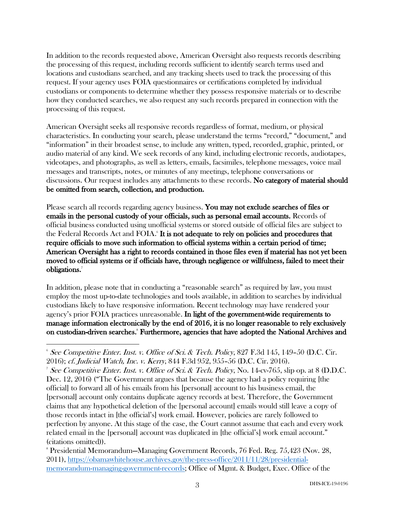In addition to the records requested above, American Oversight also requests records describing the processing of this request, including records sufficient to identify search terms used and locations and custodians searched, and any tracking sheets used to track the processing of this request. If your agency uses FOIA questionnaires or certifications completed by individual custodians or components to determine whether they possess responsive materials or to describe how they conducted searches, we also request any such records prepared in connection with the processing of this request.

American Oversight seeks all responsive records regardless of format, medium, or physical characteristics. In conducting your search, please understand the terms "record," "document," and "information" in their broadest sense, to include any written, typed, recorded, graphic, printed, or audio material of any kind. We seek records of any kind, including electronic records, audiotapes, videotapes, and photographs, as well as letters, emails, facsimiles, telephone messages, voice mail messages and transcripts, notes, or minutes of any meetings, telephone conversations or discussions. Our request includes any attachments to these records. No category of material should be omitted from search, collection, and production.

Please search all records regarding agency business. You may not exclude searches of files or emails in the personal custody of your officials, such as personal email accounts. Records of official business conducted using unofficial systems or stored outside of official files are subject to the Federal Records Act and FOIA.<sup>6</sup> It is not adequate to rely on policies and procedures that require officials to move such information to official systems within a certain period of time; American Oversight has a right to records contained in those files even if material has not yet been moved to official systems or if officials have, through negligence or willfulness, failed to meet their obligations.<sup>7</sup>

In addition, please note that in conducting a "reasonable search" as required by law, you must employ the most up-to-date technologies and tools available, in addition to searches by individual custodians likely to have responsive information. Recent technology may have rendered your agency's prior FOIA practices unreasonable. In light of the government-wide requirements to manage information electronically by the end of 2016, it is no longer reasonable to rely exclusively on custodian-driven searches.<sup>8</sup> Furthermore, agencies that have adopted the National Archives and

 $\delta$  See Competitive Enter. Inst. v. Office of Sci. & Tech. Policy, 827 F.3d 145, 149–50 (D.C. Cir. 2016); cf. Judicial Watch, Inc. v. Kerry, 844 F.3d 952, 955–56 (D.C. Cir. 2016). 7

<sup>&</sup>lt;sup>7</sup> See Competitive Enter. Inst. v. Office of Sci. & Tech. Policy, No. 14-cv-765, slip op. at 8 (D.D.C. Dec. 12, 2016) ("The Government argues that because the agency had a policy requiring [the official] to forward all of his emails from his [personal] account to his business email, the [personal] account only contains duplicate agency records at best. Therefore, the Government claims that any hypothetical deletion of the [personal account] emails would still leave a copy of those records intact in [the official's] work email. However, policies are rarely followed to perfection by anyone. At this stage of the case, the Court cannot assume that each and every work related email in the [personal] account was duplicated in [the official's] work email account." (citations omitted)).

<sup>8</sup> Presidential Memorandum—Managing Government Records, 76 Fed. Reg. 75,423 (Nov. 28, 2011), https://obamawhitehouse.archives.gov/the-press-office/2011/11/28/presidentialmemorandum-managing-government-records; Office of Mgmt. & Budget, Exec. Office of the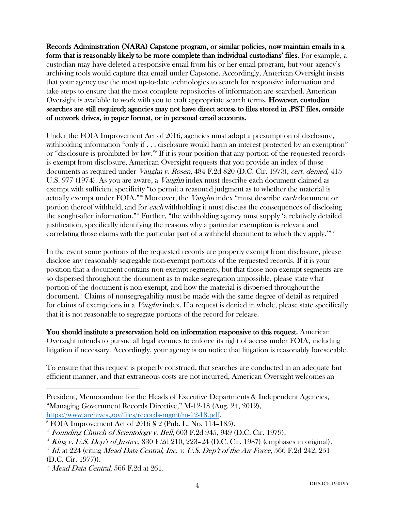Records Administration (NARA) Capstone program, or similar policies, now maintain emails in a form that is reasonably likely to be more complete than individual custodians' files. For example, a custodian may have deleted a responsive email from his or her email program, but your agency's archiving tools would capture that email under Capstone. Accordingly, American Oversight insists that your agency use the most up-to-date technologies to search for responsive information and take steps to ensure that the most complete repositories of information are searched. American Oversight is available to work with you to craft appropriate search terms. **However, custodian** searches are still required; agencies may not have direct access to files stored in .PST files, outside of network drives, in paper format, or in personal email accounts.

Under the FOIA Improvement Act of 2016, agencies must adopt a presumption of disclosure, withholding information "only if . . . disclosure would harm an interest protected by an exemption" or "disclosure is prohibited by law."9 If it is your position that any portion of the requested records is exempt from disclosure, American Oversight requests that you provide an index of those documents as required under *Vaughn v. Rosen*, 484 F.2d 820 (D.C. Cir. 1973), *cert. denied*, 415 U.S. 977 (1974). As you are aware, a Vaughn index must describe each document claimed as exempt with sufficient specificity "to permit a reasoned judgment as to whether the material is actually exempt under FOIA."<sup>10</sup> Moreover, the *Vaughn* index "must describe each document or portion thereof withheld, and for each withholding it must discuss the consequences of disclosing the sought-after information."11 Further, "the withholding agency must supply 'a relatively detailed justification, specifically identifying the reasons why a particular exemption is relevant and correlating those claims with the particular part of a withheld document to which they apply.'"12

In the event some portions of the requested records are properly exempt from disclosure, please disclose any reasonably segregable non-exempt portions of the requested records. If it is your position that a document contains non-exempt segments, but that those non-exempt segments are so dispersed throughout the document as to make segregation impossible, please state what portion of the document is non-exempt, and how the material is dispersed throughout the document.13 Claims of nonsegregability must be made with the same degree of detail as required for claims of exemptions in a *Vaughn* index. If a request is denied in whole, please state specifically that it is not reasonable to segregate portions of the record for release.

You should institute a preservation hold on information responsive to this request. American Oversight intends to pursue all legal avenues to enforce its right of access under FOIA, including litigation if necessary. Accordingly, your agency is on notice that litigation is reasonably foreseeable.

To ensure that this request is properly construed, that searches are conducted in an adequate but efficient manner, and that extraneous costs are not incurred, American Oversight welcomes an

President, Memorandum for the Heads of Executive Departments & Independent Agencies, "Managing Government Records Directive," M-12-18 (Aug. 24, 2012),

https://www.archives.gov/files/records-mgmt/m-12-18.pdf.

 $\degree$  FOIA Improvement Act of 2016 § 2 (Pub. L. No. 114–185).

<sup>&</sup>lt;sup>10</sup> Founding Church of Scientology v. Bell, 603 F.2d 945, 949 (D.C. Cir. 1979).

<sup>&</sup>lt;sup>11</sup> King v. U.S. Dep't of Justice, 830 F.2d 210, 223–24 (D.C. Cir. 1987) (emphases in original).

<sup>&</sup>lt;sup>12</sup> Id. at 224 (citing *Mead Data Central, Inc. v. U.S. Dep't of the Air Force*, 566 F.2d 242, 251 (D.C. Cir. 1977)).

 $13$  Mead Data Central, 566 F.2d at 261.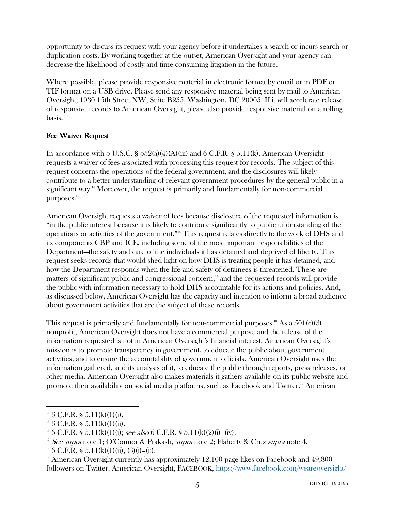opportunity to discuss its request with your agency before it undertakes a search or incurs search or duplication costs. By working together at the outset, American Oversight and your agency can decrease the likelihood of costly and time-consuming litigation in the future.

Where possible, please provide responsive material in electronic format by email or in PDF or TIF format on a USB drive. Please send any responsive material being sent by mail to American Oversight, 1030 15th Street NW, Suite B255, Washington, DC 20005. If it will accelerate release of responsive records to American Oversight, please also provide responsive material on a rolling basis.

### Fee Waiver Request

In accordance with 5 U.S.C. §  $552(a)(4)(A)(iii)$  and 6 C.F.R. §  $5.11(k)$ , American Oversight requests a waiver of fees associated with processing this request for records. The subject of this request concerns the operations of the federal government, and the disclosures will likely contribute to a better understanding of relevant government procedures by the general public in a significant way.14 Moreover, the request is primarily and fundamentally for non-commercial purposes.<sup>15</sup>

American Oversight requests a waiver of fees because disclosure of the requested information is "in the public interest because it is likely to contribute significantly to public understanding of the operations or activities of the government."16 This request relates directly to the work of DHS and its components CBP and ICE, including some of the most important responsibilities of the Department—the safety and care of the individuals it has detained and deprived of liberty. This request seeks records that would shed light on how DHS is treating people it has detained, and how the Department responds when the life and safety of detainees is threatened. These are matters of significant public and congressional concern,<sup>17</sup> and the requested records will provide the public with information necessary to hold DHS accountable for its actions and policies. And, as discussed below, American Oversight has the capacity and intention to inform a broad audience about government activities that are the subject of these records.

This request is primarily and fundamentally for non-commercial purposes.<sup>18</sup> As a  $501(c)(3)$ nonprofit, American Oversight does not have a commercial purpose and the release of the information requested is not in American Oversight's financial interest. American Oversight's mission is to promote transparency in government, to educate the public about government activities, and to ensure the accountability of government officials. American Oversight uses the information gathered, and its analysis of it, to educate the public through reports, press releases, or other media. American Oversight also makes materials it gathers available on its public website and promote their availability on social media platforms, such as Facebook and Twitter.19 American

 $146$  C.F.R. § 5.11(k)(1)(i).

 $15 \text{ } 6 \text{ } C.F.R. \text{ }$  § 5.11(k)(1)(ii).

<sup>&</sup>lt;sup>16</sup> 6 C.F.R. § 5.11(k)(1)(i); see also 6 C.F.R. § 5.11(k)(2)(i)–(iv).

<sup>&</sup>lt;sup>17</sup> See supra note 1; O'Connor & Prakash, *supra* note 2; Flaherty & Cruz *supra* note 4.<br><sup>18</sup> 6 C.F.R. § 5.11(k)(1)(ii), (3)(i)–(ii).

<sup>&</sup>lt;sup>19</sup> American Oversight currently has approximately 12,100 page likes on Facebook and  $49,800$ followers on Twitter. American Oversight, FACEBOOK, https://www.facebook.com/weareoversight/